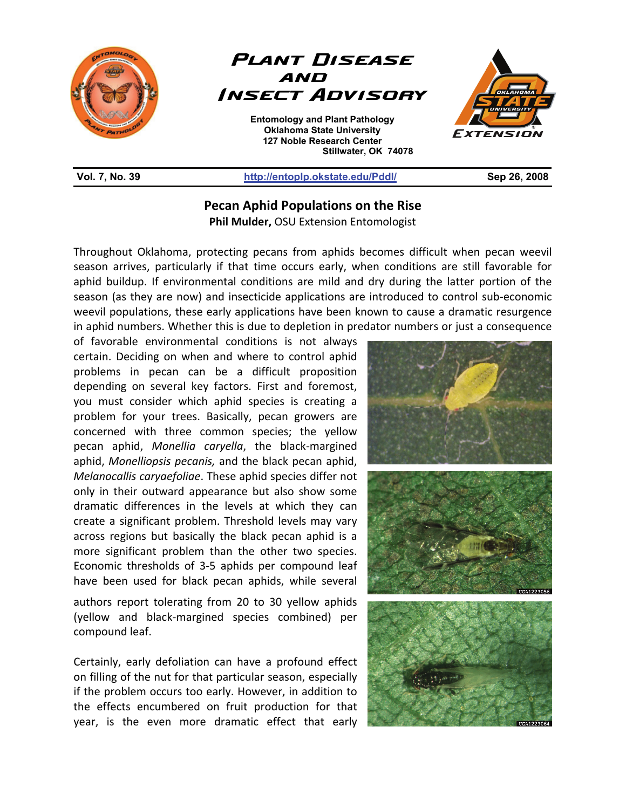



**Entomology and Plant Pathology Oklahoma State University 127 Noble Research Center Stillwater, OK 74078**  L



## **Vol. 7, No. 39 http://entoplp.okstate.edu/Pddl/ Sep 26, 2008**

## **Pecan Aphid Populations on the Rise**

**Phil Mulder,** OSU Extension Entomologist

Throughout Oklahoma, protecting pecans from aphids becomes difficult when pecan weevil season arrives, particularly if that time occurs early, when conditions are still favorable for aphid buildup. If environmental conditions are mild and dry during the latter portion of the season (as they are now) and insecticide applications are introduced to control sub-economic weevil populations, these early applications have been known to cause a dramatic resurgence in aphid numbers. Whether this is due to depletion in predator numbers or just a consequence

of favorable environmental conditions is not always certain. Deciding on when and where to control aphid problems in pecan can be a difficult proposition depending on several key factors. First and foremost, you must consider which aphid species is creating a problem for your trees. Basically, pecan growers are concerned with three common species; the yellow pecan aphid, *Monellia caryella*, the black-margined aphid, *Monelliopsis pecanis,* and the black pecan aphid, *Melanocallis caryaefoliae*. These aphid species differ not only in their outward appearance but also show some dramatic differences in the levels at which they can create a significant problem. Threshold levels may vary across regions but basically the black pecan aphid is a more significant problem than the other two species. Economic thresholds of 3-5 aphids per compound leaf have been used for black pecan aphids, while several

authors report tolerating from 20 to 30 yellow aphids (yellow and black-margined species combined) per compound leaf.

Certainly, early defoliation can have a profound effect on filling of the nut for that particular season, especially if the problem occurs too early. However, in addition to the effects encumbered on fruit production for that year, is the even more dramatic effect that early